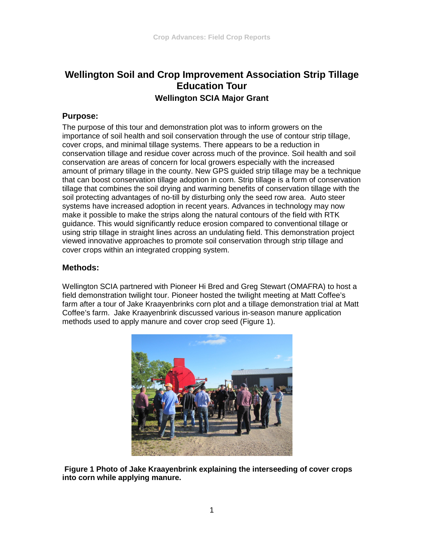# **Wellington Soil and Crop Improvement Association Strip Tillage Education Tour Wellington SCIA Major Grant**

#### **Purpose:**

The purpose of this tour and demonstration plot was to inform growers on the importance of soil health and soil conservation through the use of contour strip tillage, cover crops, and minimal tillage systems. There appears to be a reduction in conservation tillage and residue cover across much of the province. Soil health and soil conservation are areas of concern for local growers especially with the increased amount of primary tillage in the county. New GPS guided strip tillage may be a technique that can boost conservation tillage adoption in corn. Strip tillage is a form of conservation tillage that combines the soil drying and warming benefits of conservation tillage with the soil protecting advantages of no-till by disturbing only the seed row area. Auto steer systems have increased adoption in recent years. Advances in technology may now make it possible to make the strips along the natural contours of the field with RTK guidance. This would significantly reduce erosion compared to conventional tillage or using strip tillage in straight lines across an undulating field. This demonstration project viewed innovative approaches to promote soil conservation through strip tillage and cover crops within an integrated cropping system.

### **Methods:**

Wellington SCIA partnered with Pioneer Hi Bred and Greg Stewart (OMAFRA) to host a field demonstration twilight tour. Pioneer hosted the twilight meeting at Matt Coffee's farm after a tour of Jake Kraayenbrinks corn plot and a tillage demonstration trial at Matt Coffee's farm. Jake Kraayenbrink discussed various in-season manure application methods used to apply manure and cover crop seed (Figure 1).



**Figure 1 Photo of Jake Kraayenbrink explaining the interseeding of cover crops into corn while applying manure.**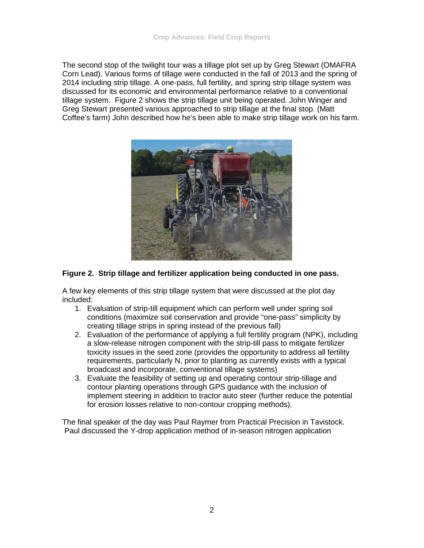The second stop of the twilight tour was a tillage plot set up by Greg Stewart (OMAFRA Corn Lead). Various forms of tillage were conducted in the fall of 2013 and the spring of 2014 including strip tillage. A one-pass, full fertility, and spring strip tillage system was discussed for its economic and environmental performance relative to a conventional tillage system. Figure 2 shows the strip tillage unit being operated. John Winger and Greg Stewart presented various approached to strip tillage at the final stop. (Matt Coffee's farm) John described how he's been able to make strip tillage work on his farm.



#### **Figure 2. Strip tillage and fertilizer application being conducted in one pass.**

A few key elements of this strip tillage system that were discussed at the plot day included:

- 1. Evaluation of strip-till equipment which can perform well under spring soil conditions (maximize soil conservation and provide "one-pass" simplicity by creating tillage strips in spring instead of the previous fall)
- 2. Evaluation of the performance of applying a full fertility program (NPK), including a slow-release nitrogen component with the strip-till pass to mitigate fertilizer toxicity issues in the seed zone (provides the opportunity to address all fertility requirements, particularly N, prior to planting as currently exists with a typical broadcast and incorporate, conventional tillage systems)
- 3. Evaluate the feasibility of setting up and operating contour strip-tillage and contour planting operations through GPS guidance with the inclusion of implement steering in addition to tractor auto steer (further reduce the potential for erosion losses relative to non-contour cropping methods).

The final speaker of the day was Paul Raymer from Practical Precision in Tavistock. Paul discussed the Y-drop application method of in-season nitrogen application